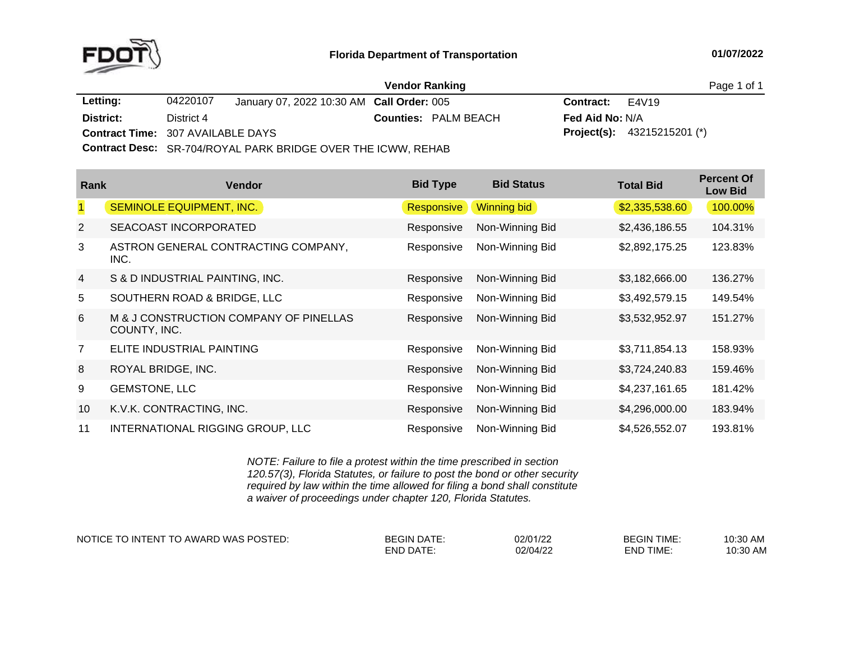

|                                          |            |                                                                     | <b>Vendor Ranking</b> |                             |                        |                                      | Page 1 of 1 |
|------------------------------------------|------------|---------------------------------------------------------------------|-----------------------|-----------------------------|------------------------|--------------------------------------|-------------|
| Letting:                                 | 04220107   | January 07, 2022 10:30 AM Call Order: 005                           |                       |                             | <b>Contract:</b> E4V19 |                                      |             |
| District:                                | District 4 |                                                                     |                       | <b>Counties: PALM BEACH</b> | <b>Fed Aid No: N/A</b> |                                      |             |
| <b>Contract Time: 307 AVAILABLE DAYS</b> |            |                                                                     |                       |                             |                        | <b>Project(s):</b> $43215215201$ (*) |             |
|                                          |            | <b>Contract Desc:</b> SR-704/ROYAL PARK BRIDGE OVER THE ICWW, REHAB |                       |                             |                        |                                      |             |

| Rank           | <b>Vendor</b>                                          | <b>Bid Type</b>   | <b>Bid Status</b>  | <b>Total Bid</b> | <b>Percent Of</b><br><b>Low Bid</b> |
|----------------|--------------------------------------------------------|-------------------|--------------------|------------------|-------------------------------------|
| $\mathbf{1}$   | SEMINOLE EQUIPMENT, INC.                               | <b>Responsive</b> | <b>Winning bid</b> | \$2,335,538.60   | 100.00%                             |
| $\overline{2}$ | SEACOAST INCORPORATED                                  | Responsive        | Non-Winning Bid    | \$2,436,186.55   | 104.31%                             |
| 3              | ASTRON GENERAL CONTRACTING COMPANY,<br>INC.            | Responsive        | Non-Winning Bid    | \$2,892,175.25   | 123.83%                             |
| $\overline{4}$ | S & D INDUSTRIAL PAINTING, INC.                        | Responsive        | Non-Winning Bid    | \$3,182,666.00   | 136.27%                             |
| 5              | SOUTHERN ROAD & BRIDGE, LLC                            | Responsive        | Non-Winning Bid    | \$3,492,579.15   | 149.54%                             |
| 6              | M & J CONSTRUCTION COMPANY OF PINELLAS<br>COUNTY, INC. | Responsive        | Non-Winning Bid    | \$3,532,952.97   | 151.27%                             |
| 7              | ELITE INDUSTRIAL PAINTING                              | Responsive        | Non-Winning Bid    | \$3,711,854.13   | 158.93%                             |
| 8              | ROYAL BRIDGE, INC.                                     | Responsive        | Non-Winning Bid    | \$3,724,240.83   | 159.46%                             |
| 9              | <b>GEMSTONE, LLC</b>                                   | Responsive        | Non-Winning Bid    | \$4,237,161.65   | 181.42%                             |
| 10             | K.V.K. CONTRACTING, INC.                               | Responsive        | Non-Winning Bid    | \$4,296,000.00   | 183.94%                             |
| 11             | INTERNATIONAL RIGGING GROUP, LLC                       | Responsive        | Non-Winning Bid    | \$4,526,552.07   | 193.81%                             |

*NOTE: Failure to file <sup>a</sup> protest within the time prescribed in section 120.57(3), Florida Statutes, or failure to post the bond or other security required by law within the time allowed for filing <sup>a</sup> bond shall constitute a waiver of proceedings under chapter 120, Florida Statutes.*

NOTICE TO INTENT TO AWARD WAS POSTED: BEGIN DATE: 02/01/22 BEGIN TIME: 10:30 AM

END DATE: 02/04/22 END TIME:

10:30 AM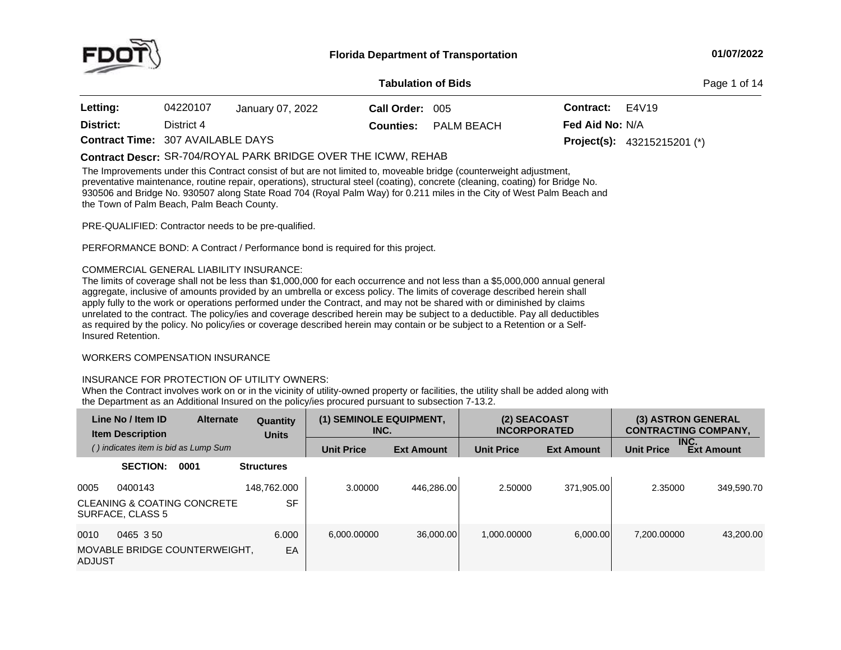

#### **01/07/2022**

#### **Tabulation**

**of Bids** Page <sup>1</sup> of <sup>14</sup>

| <b>Letting:</b>                          | 04220107   | January 07, 2022 | Call Order: 005  |            | <b>Contract:</b>       | E4V19                                |
|------------------------------------------|------------|------------------|------------------|------------|------------------------|--------------------------------------|
| District:                                | District 4 |                  | <b>Counties:</b> | PALM BEACH | <b>Fed Aid No: N/A</b> |                                      |
| <b>Contract Time: 307 AVAILABLE DAYS</b> |            |                  |                  |            |                        | <b>Project(s):</b> $43215215201$ (*) |

The Improvements under this Contract consist of but are not limited to, moveable bridge (counterweight adjustment, preventative maintenance, routine repair, operations), structural steel (coating), concrete (cleaning, coating) for Bridge No.<br>2005 - Carl Line Coates Line Coates Line (Coating) for the United States Coates City of Dutch C 930506 and Bridge No. 930507 along State Road 704 (Royal Palm Way) for 0.211 miles in the City of West Palm Beach and<br>the Town of Palm Boach, Palm Boach County the Town of Palm Beach, Palm Beach County. **Contract Descr:** SR-704/ROYAL PARK BRIDGE OVER THE ICWW, REHAB

PRE-QUALIFIED: Contractor needs to be pre-qualified.

PERFORMANCE BOND: <sup>A</sup> Contract / Performance bond is required for this project.

## COMMERCIAL GENERAL LIABILITY INSURANCE:

The limits of coverage shall not be less than \$1,000,000 for each occurrence and not less than <sup>a</sup> \$5,000,000 annual general aggregate, inclusive of amounts provided by an umbrella or excess policy. The limits of coverage described herein shall apply fully to the work or operations performed under the Contract, and may not be shared with or diminished by claims unrelated to the contract. The policy/ies and coverage described herein may be subject to <sup>a</sup> deductible. Pay all deductibles as required by the policy. No policy/ies or coverage described herein may contain or be subject to a Retention or a Self-<br>Insured Retention. Insured Retention.

## WORKERS COMPENSATION INSURANCE

# INSURANCE FOR PROTECTION OF UTILITY OWNERS:

When the Contract involves work on or in the vicinity of utility-owned property or facilities, the utility shall be added along with the Department as an Additional Insured on the policy/ies procured pursuant to subsection 7-13.2.

|                | Line No / Item ID<br><b>Item Description</b> | <b>Alternate</b>                       | Quantity<br><b>Units</b> | (1) SEMINOLE EQUIPMENT,<br>INC. |                   | (2) SEACOAST<br><b>INCORPORATED</b> |                   |                   | (3) ASTRON GENERAL<br><b>CONTRACTING COMPANY,</b> |
|----------------|----------------------------------------------|----------------------------------------|--------------------------|---------------------------------|-------------------|-------------------------------------|-------------------|-------------------|---------------------------------------------------|
|                | () indicates item is bid as Lump Sum         |                                        |                          | <b>Unit Price</b>               | <b>Ext Amount</b> | <b>Unit Price</b>                   | <b>Ext Amount</b> | <b>Unit Price</b> | INC.<br><b>Ext Amount</b>                         |
|                | <b>SECTION:</b>                              | 0001                                   | <b>Structures</b>        |                                 |                   |                                     |                   |                   |                                                   |
| 0005           | 0400143                                      |                                        | 148.762.000              | 3.00000                         | 446.286.00        | 2.50000                             | 371.905.00        | 2.35000           | 349.590.70                                        |
|                | SURFACE, CLASS 5                             | <b>CLEANING &amp; COATING CONCRETE</b> | <b>SF</b>                |                                 |                   |                                     |                   |                   |                                                   |
| 0010<br>ADJUST | 0465 350                                     | MOVABLE BRIDGE COUNTERWEIGHT.          | 6.000<br>EA              | 6.000.00000                     | 36.000.00         | 1.000.00000                         | 6.000.00          | 7.200.00000       | 43.200.00                                         |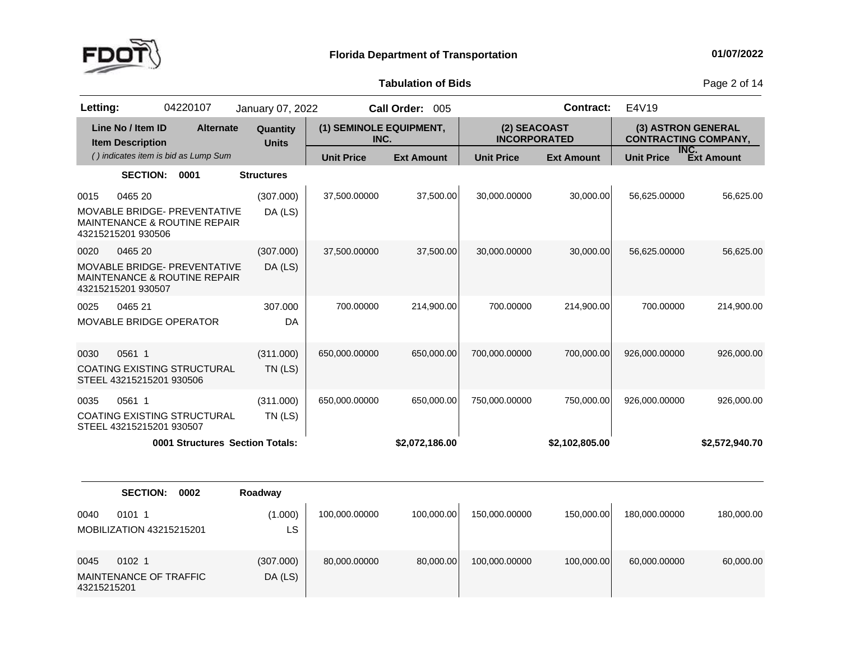

0045

43215215201

<sup>0102</sup> <sup>1</sup>

MAINTENANCE OF TRAFFIC<br>42045045004

(307.000)DA (LS)

80,000.00000

**Tabulation**

**of Bids** Page <sup>2</sup> of <sup>14</sup>

| Letting: |                                              | 04220107                                                                       | January 07, 2022         |                                 | Call Order: 005   |                                     | <b>Contract:</b>  | E4V19                                             |                   |
|----------|----------------------------------------------|--------------------------------------------------------------------------------|--------------------------|---------------------------------|-------------------|-------------------------------------|-------------------|---------------------------------------------------|-------------------|
|          | Line No / Item ID<br><b>Item Description</b> | <b>Alternate</b>                                                               | Quantity<br><b>Units</b> | (1) SEMINOLE EQUIPMENT,<br>INC. |                   | (2) SEACOAST<br><b>INCORPORATED</b> |                   | (3) ASTRON GENERAL<br><b>CONTRACTING COMPANY,</b> |                   |
|          |                                              | () indicates item is bid as Lump Sum                                           |                          | <b>Unit Price</b>               | <b>Ext Amount</b> | <b>Unit Price</b>                   | <b>Ext Amount</b> | INC.<br><b>Unit Price</b>                         | <b>Ext Amount</b> |
|          | <b>SECTION:</b>                              | 0001                                                                           | <b>Structures</b>        |                                 |                   |                                     |                   |                                                   |                   |
| 0015     | 0465 20<br>43215215201 930506                | <b>MOVABLE BRIDGE- PREVENTATIVE</b><br><b>MAINTENANCE &amp; ROUTINE REPAIR</b> | (307.000)<br>DA (LS)     | 37,500.00000                    | 37,500.00         | 30,000.00000                        | 30,000.00         | 56,625.00000                                      | 56,625.00         |
| 0020     | 0465 20<br>43215215201 930507                | MOVABLE BRIDGE- PREVENTATIVE<br>MAINTENANCE & ROUTINE REPAIR                   | (307.000)<br>DA (LS)     | 37,500.00000                    | 37,500.00         | 30,000.00000                        | 30,000.00         | 56,625.00000                                      | 56,625.00         |
| 0025     | 0465 21<br><b>MOVABLE BRIDGE OPERATOR</b>    |                                                                                | 307.000<br>DA            | 700.00000                       | 214,900.00        | 700.00000                           | 214,900.00        | 700.00000                                         | 214,900.00        |
| 0030     | 0561 1<br>STEEL 43215215201 930506           | COATING EXISTING STRUCTURAL                                                    | (311.000)<br>TN (LS)     | 650,000.00000                   | 650,000.00        | 700,000.00000                       | 700,000.00        | 926,000.00000                                     | 926,000.00        |
| 0035     | 0561 1                                       |                                                                                | (311.000)                | 650,000.00000                   | 650,000.00        | 750,000.00000                       | 750,000.00        | 926,000.00000                                     | 926,000.00        |
|          | STEEL 43215215201 930507                     | <b>COATING EXISTING STRUCTURAL</b>                                             | $TN$ (LS)                |                                 |                   |                                     |                   |                                                   |                   |
|          |                                              | 0001 Structures Section Totals:                                                |                          |                                 | \$2,072,186.00    |                                     | \$2,102,805.00    |                                                   | \$2,572,940.70    |
|          |                                              |                                                                                |                          |                                 |                   |                                     |                   |                                                   |                   |
|          | <b>SECTION:</b>                              | 0002                                                                           | Roadway                  |                                 |                   |                                     |                   |                                                   |                   |
| 0040     | 0101 1<br>MOBILIZATION 43215215201           |                                                                                | (1.000)<br>LS            | 100,000.00000                   | 100,000.00        | 150,000.00000                       | 150,000.00        | 180,000.00000                                     | 180,000.00        |

80,000.00 100,000.00000 100,000.00 60,000.0000 60,000.00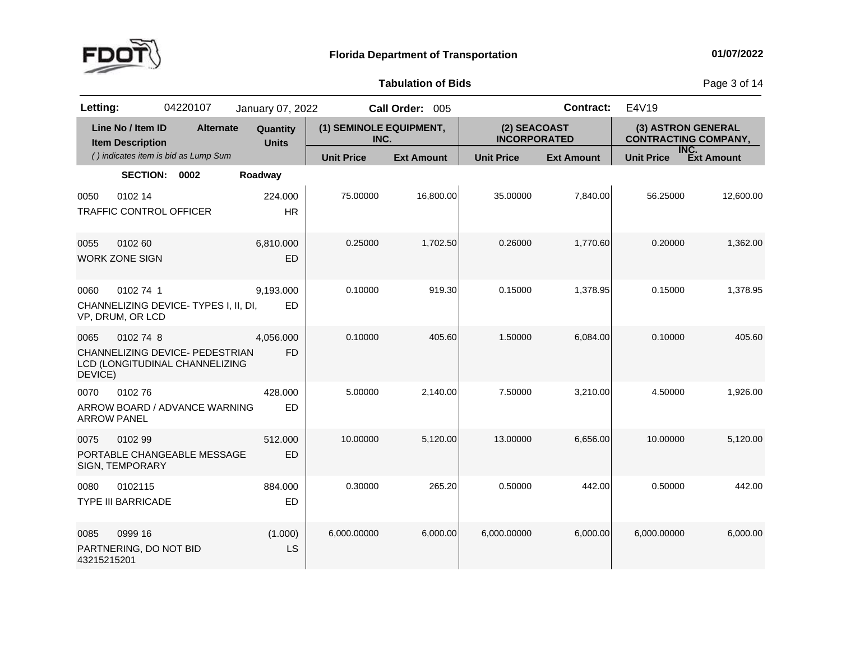

**of Bids** Page <sup>3</sup> of <sup>14</sup>

| Letting:                   |                                              | 04220107                                                          | January 07, 2022         |                                 | Call Order: 005   |                                     | <b>Contract:</b>  | E4V19                                             |                   |
|----------------------------|----------------------------------------------|-------------------------------------------------------------------|--------------------------|---------------------------------|-------------------|-------------------------------------|-------------------|---------------------------------------------------|-------------------|
|                            | Line No / Item ID<br><b>Item Description</b> | <b>Alternate</b>                                                  | Quantity<br><b>Units</b> | (1) SEMINOLE EQUIPMENT,<br>INC. |                   | (2) SEACOAST<br><b>INCORPORATED</b> |                   | (3) ASTRON GENERAL<br><b>CONTRACTING COMPANY,</b> |                   |
|                            |                                              | () indicates item is bid as Lump Sum                              |                          | <b>Unit Price</b>               | <b>Ext Amount</b> | <b>Unit Price</b>                   | <b>Ext Amount</b> | INC.<br><b>Unit Price</b>                         | <b>Ext Amount</b> |
|                            | SECTION: 0002                                |                                                                   | Roadway                  |                                 |                   |                                     |                   |                                                   |                   |
| 0050                       | 0102 14<br><b>TRAFFIC CONTROL OFFICER</b>    |                                                                   | 224.000<br><b>HR</b>     | 75.00000                        | 16,800.00         | 35.00000                            | 7,840.00          | 56.25000                                          | 12,600.00         |
| 0055                       | 0102 60<br><b>WORK ZONE SIGN</b>             |                                                                   | 6,810.000<br><b>ED</b>   | 0.25000                         | 1,702.50          | 0.26000                             | 1,770.60          | 0.20000                                           | 1,362.00          |
| 0060                       | 0102 74 1<br>VP, DRUM, OR LCD                | CHANNELIZING DEVICE-TYPES I, II, DI,                              | 9,193.000<br><b>ED</b>   | 0.10000                         | 919.30            | 0.15000                             | 1,378.95          | 0.15000                                           | 1,378.95          |
| 0065<br>DEVICE)            | 0102 74 8                                    | CHANNELIZING DEVICE- PEDESTRIAN<br>LCD (LONGITUDINAL CHANNELIZING | 4,056.000<br><b>FD</b>   | 0.10000                         | 405.60            | 1.50000                             | 6,084.00          | 0.10000                                           | 405.60            |
| 0070<br><b>ARROW PANEL</b> | 010276                                       | ARROW BOARD / ADVANCE WARNING                                     | 428.000<br>ED            | 5.00000                         | 2,140.00          | 7.50000                             | 3,210.00          | 4.50000                                           | 1,926.00          |
| 0075                       | 0102 99<br>SIGN, TEMPORARY                   | PORTABLE CHANGEABLE MESSAGE                                       | 512.000<br><b>ED</b>     | 10.00000                        | 5,120.00          | 13.00000                            | 6,656.00          | 10.00000                                          | 5,120.00          |
| 0080                       | 0102115<br><b>TYPE III BARRICADE</b>         |                                                                   | 884.000<br>ED            | 0.30000                         | 265.20            | 0.50000                             | 442.00            | 0.50000                                           | 442.00            |
| 0085<br>43215215201        | 0999 16<br>PARTNERING, DO NOT BID            |                                                                   | (1.000)<br>LS            | 6,000.00000                     | 6,000.00          | 6,000.00000                         | 6,000.00          | 6,000.00000                                       | 6,000.00          |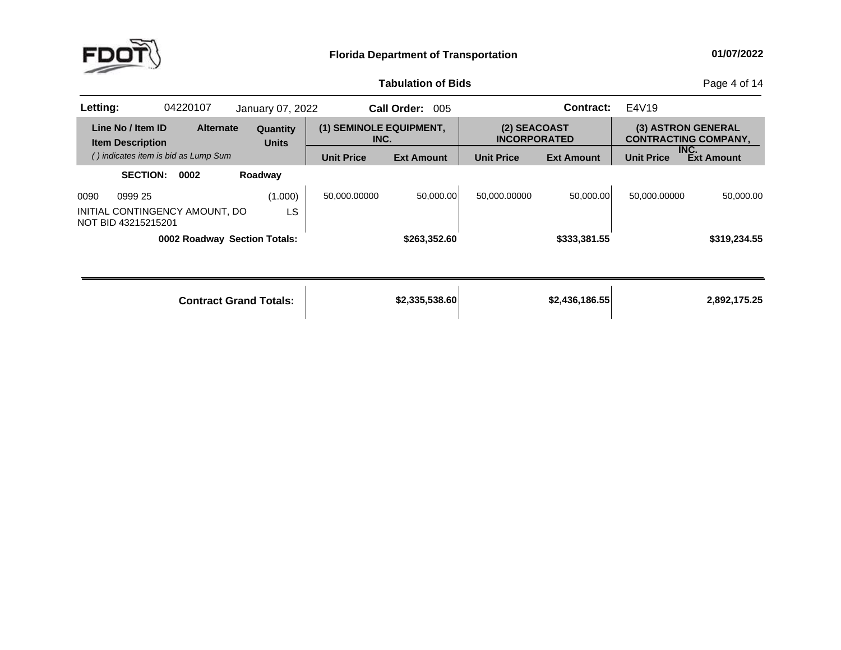

**of Bids** Page <sup>4</sup> of <sup>14</sup>

| Letting: |                                                       | 04220107 |                  | January 07, 2022                |                                 | <b>Call Order:</b><br>005 |                                     | <b>Contract:</b>  | E4V19             |                                                   |
|----------|-------------------------------------------------------|----------|------------------|---------------------------------|---------------------------------|---------------------------|-------------------------------------|-------------------|-------------------|---------------------------------------------------|
|          | Line No / Item ID<br><b>Item Description</b>          |          | <b>Alternate</b> | <b>Quantity</b><br><b>Units</b> | (1) SEMINOLE EQUIPMENT,<br>INC. |                           | (2) SEACOAST<br><b>INCORPORATED</b> |                   |                   | (3) ASTRON GENERAL<br><b>CONTRACTING COMPANY,</b> |
|          | () indicates item is bid as Lump Sum                  |          |                  |                                 | <b>Unit Price</b>               | <b>Ext Amount</b>         | <b>Unit Price</b>                   | <b>Ext Amount</b> | <b>Unit Price</b> | INC.<br><b>Ext Amount</b>                         |
|          | <b>SECTION:</b>                                       | 0002     |                  | Roadway                         |                                 |                           |                                     |                   |                   |                                                   |
| 0090     | 0999 25                                               |          |                  | (1.000)                         | 50,000.00000                    | 50,000.00                 | 50,000.00000                        | 50,000.00         | 50,000.00000      | 50,000.00                                         |
|          | INITIAL CONTINGENCY AMOUNT, DO<br>NOT BID 43215215201 |          |                  | LS                              |                                 |                           |                                     |                   |                   |                                                   |
|          |                                                       |          |                  | 0002 Roadway Section Totals:    |                                 | \$263,352.60              |                                     | \$333,381.55      |                   | \$319,234.55                                      |
|          |                                                       |          |                  |                                 |                                 |                           |                                     |                   |                   |                                                   |
|          |                                                       |          |                  | <b>Contract Grand Totals:</b>   |                                 | \$2,335,538.60            |                                     | \$2,436,186.55    |                   | 2,892,175.25                                      |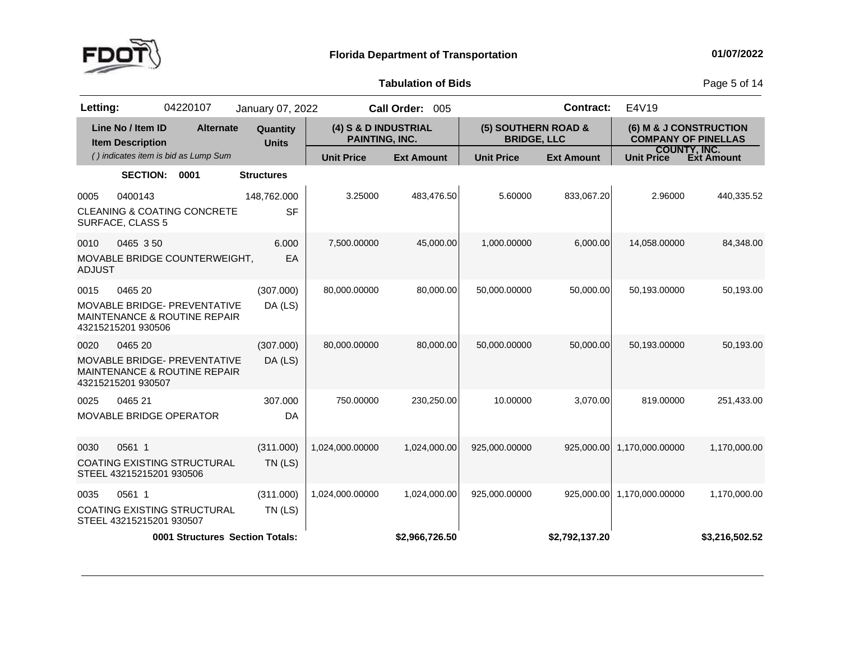

**of Bids** Page <sup>5</sup> of <sup>14</sup>

| 04220107<br>Letting:                                                                                             | January 07, 2022         |                                               | Call Order: 005   |                                           | <b>Contract:</b>  | E4V19                                                |                   |
|------------------------------------------------------------------------------------------------------------------|--------------------------|-----------------------------------------------|-------------------|-------------------------------------------|-------------------|------------------------------------------------------|-------------------|
| Line No / Item ID<br><b>Alternate</b><br><b>Item Description</b>                                                 | Quantity<br><b>Units</b> | (4) S & D INDUSTRIAL<br><b>PAINTING, INC.</b> |                   | (5) SOUTHERN ROAD &<br><b>BRIDGE, LLC</b> |                   | (6) M & J CONSTRUCTION<br><b>COMPANY OF PINELLAS</b> |                   |
| () indicates item is bid as Lump Sum                                                                             |                          | <b>Unit Price</b>                             | <b>Ext Amount</b> | <b>Unit Price</b>                         | <b>Ext Amount</b> | <b>COUNTY, INC.</b><br><b>Unit Price</b>             | <b>Ext Amount</b> |
| <b>SECTION:</b><br>0001                                                                                          | <b>Structures</b>        |                                               |                   |                                           |                   |                                                      |                   |
| 0400143<br>0005<br><b>CLEANING &amp; COATING CONCRETE</b><br>SURFACE, CLASS 5                                    | 148,762.000<br><b>SF</b> | 3.25000                                       | 483,476.50        | 5.60000                                   | 833,067.20        | 2.96000                                              | 440,335.52        |
| 0465 350<br>0010<br>MOVABLE BRIDGE COUNTERWEIGHT,<br><b>ADJUST</b>                                               | 6.000<br>EA              | 7,500.00000                                   | 45,000.00         | 1,000.00000                               | 6,000.00          | 14,058.00000                                         | 84,348.00         |
| 0015<br>0465 20<br>MOVABLE BRIDGE- PREVENTATIVE<br><b>MAINTENANCE &amp; ROUTINE REPAIR</b><br>43215215201 930506 | (307.000)<br>DA (LS)     | 80,000.00000                                  | 80,000.00         | 50,000.00000                              | 50,000.00         | 50,193.00000                                         | 50,193.00         |
| 0465 20<br>0020<br>MOVABLE BRIDGE- PREVENTATIVE<br><b>MAINTENANCE &amp; ROUTINE REPAIR</b><br>43215215201 930507 | (307.000)<br>DA (LS)     | 80,000.00000                                  | 80,000.00         | 50,000.00000                              | 50,000.00         | 50,193.00000                                         | 50,193.00         |
| 0025<br>0465 21<br>MOVABLE BRIDGE OPERATOR                                                                       | 307.000<br>DA            | 750.00000                                     | 230,250.00        | 10.00000                                  | 3,070.00          | 819.00000                                            | 251,433.00        |
| 0561 1<br>0030<br>COATING EXISTING STRUCTURAL<br>STEEL 43215215201 930506                                        | (311.000)<br>$TN$ (LS)   | 1,024,000.00000                               | 1,024,000.00      | 925,000.00000                             | 925,000.00        | 1,170,000.00000                                      | 1,170,000.00      |
| 0561 1<br>0035<br><b>COATING EXISTING STRUCTURAL</b><br>STEEL 43215215201 930507                                 | (311.000)<br>$TN$ (LS)   | 1,024,000.00000                               | 1,024,000.00      | 925,000.00000                             | 925,000.00        | 1,170,000.00000                                      | 1,170,000.00      |
| <b>0001 Structures Section Totals:</b>                                                                           |                          |                                               | \$2,966,726.50    |                                           | \$2,792,137.20    |                                                      | \$3,216,502.52    |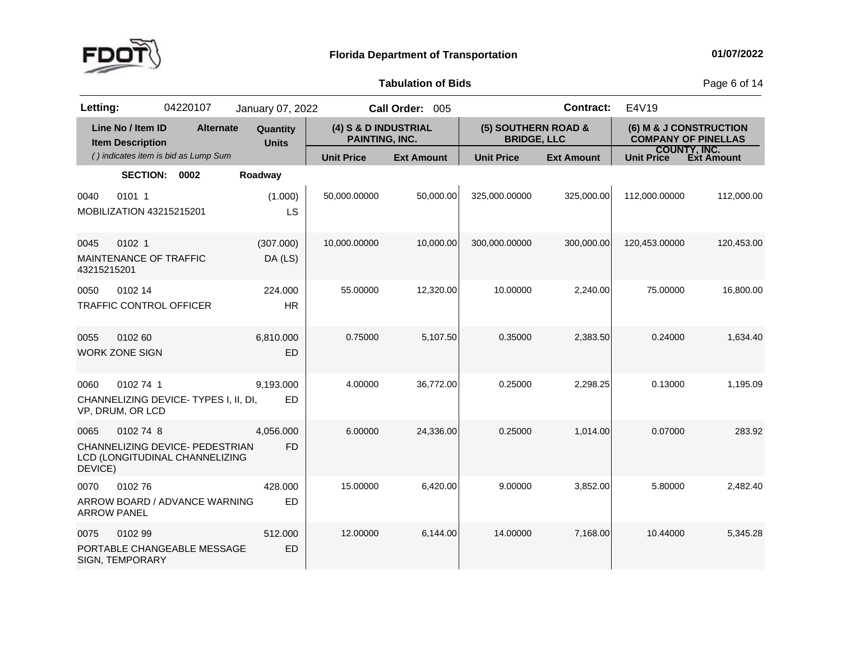

**of Bids** Page <sup>6</sup> of <sup>14</sup>

| Letting:            |                                              | 04220107                                                          | January 07, 2022         |                                        | Call Order: 005   |                                           | <b>Contract:</b>  | E4V19                                                |            |
|---------------------|----------------------------------------------|-------------------------------------------------------------------|--------------------------|----------------------------------------|-------------------|-------------------------------------------|-------------------|------------------------------------------------------|------------|
|                     | Line No / Item ID<br><b>Item Description</b> | <b>Alternate</b>                                                  | Quantity<br><b>Units</b> | (4) S & D INDUSTRIAL<br>PAINTING, INC. |                   | (5) SOUTHERN ROAD &<br><b>BRIDGE, LLC</b> |                   | (6) M & J CONSTRUCTION<br><b>COMPANY OF PINELLAS</b> |            |
|                     |                                              | () indicates item is bid as Lump Sum                              |                          | <b>Unit Price</b>                      | <b>Ext Amount</b> | <b>Unit Price</b>                         | <b>Ext Amount</b> | <b>COUNTY, INC.</b><br>Unit Price                    | Ext Amount |
|                     | <b>SECTION:</b>                              | 0002                                                              | Roadway                  |                                        |                   |                                           |                   |                                                      |            |
| 0040                | 0101 1<br>MOBILIZATION 43215215201           |                                                                   | (1.000)<br>LS            | 50,000.00000                           | 50,000.00         | 325,000.00000                             | 325,000.00        | 112,000.00000                                        | 112,000.00 |
| 0045<br>43215215201 | 0102 <sub>1</sub><br>MAINTENANCE OF TRAFFIC  |                                                                   | (307.000)<br>DA (LS)     | 10,000.00000                           | 10,000.00         | 300,000.00000                             | 300,000.00        | 120,453.00000                                        | 120,453.00 |
| 0050                | 0102 14                                      | <b>TRAFFIC CONTROL OFFICER</b>                                    | 224.000<br><b>HR</b>     | 55.00000                               | 12,320.00         | 10.00000                                  | 2,240.00          | 75.00000                                             | 16,800.00  |
| 0055                | 0102 60<br><b>WORK ZONE SIGN</b>             |                                                                   | 6,810.000<br><b>ED</b>   | 0.75000                                | 5,107.50          | 0.35000                                   | 2,383.50          | 0.24000                                              | 1.634.40   |
| 0060                | 0102741<br>VP, DRUM, OR LCD                  | CHANNELIZING DEVICE-TYPES I, II, DI,                              | 9,193.000<br>ED          | 4.00000                                | 36,772.00         | 0.25000                                   | 2,298.25          | 0.13000                                              | 1,195.09   |
| 0065<br>DEVICE)     | 0102 74 8                                    | CHANNELIZING DEVICE- PEDESTRIAN<br>LCD (LONGITUDINAL CHANNELIZING | 4,056.000<br><b>FD</b>   | 6.00000                                | 24,336.00         | 0.25000                                   | 1.014.00          | 0.07000                                              | 283.92     |
| 0070                | 010276<br><b>ARROW PANEL</b>                 | ARROW BOARD / ADVANCE WARNING                                     | 428.000<br><b>ED</b>     | 15.00000                               | 6,420.00          | 9.00000                                   | 3,852.00          | 5.80000                                              | 2,482.40   |
| 0075                | 0102 99<br><b>SIGN, TEMPORARY</b>            | PORTABLE CHANGEABLE MESSAGE                                       | 512.000<br>ED            | 12.00000                               | 6,144.00          | 14.00000                                  | 7,168.00          | 10.44000                                             | 5,345.28   |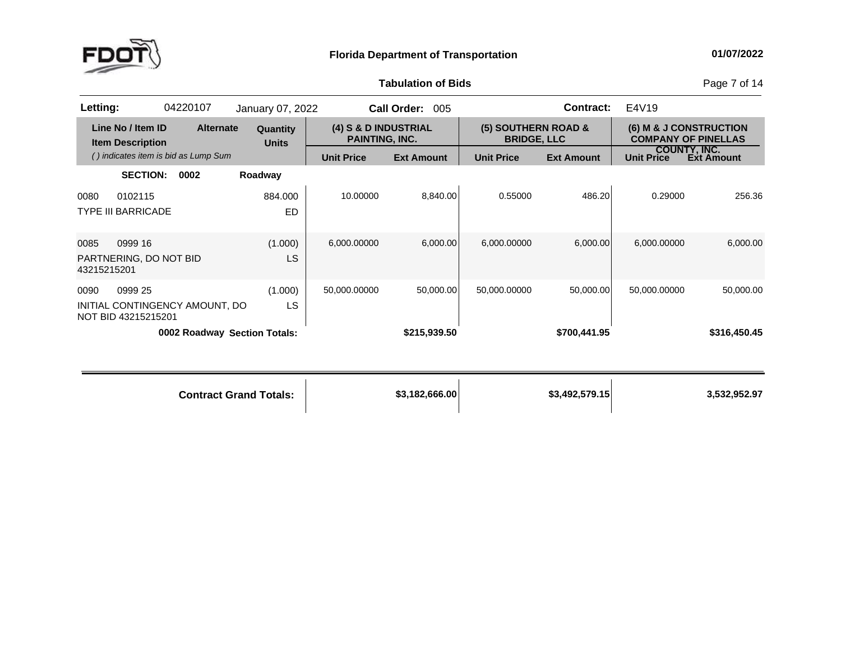

**of Bids** Page <sup>7</sup> of <sup>14</sup>

| Letting:            |                                              | 04220107                             | January 07, 2022              |                                        | Call Order: 005   |                                           | <b>Contract:</b>  | E4V19             |                                                      |
|---------------------|----------------------------------------------|--------------------------------------|-------------------------------|----------------------------------------|-------------------|-------------------------------------------|-------------------|-------------------|------------------------------------------------------|
|                     | Line No / Item ID<br><b>Item Description</b> | <b>Alternate</b>                     | Quantity<br><b>Units</b>      | (4) S & D INDUSTRIAL<br>PAINTING, INC. |                   | (5) SOUTHERN ROAD &<br><b>BRIDGE, LLC</b> |                   |                   | (6) M & J CONSTRUCTION<br><b>COMPANY OF PINELLAS</b> |
|                     |                                              | () indicates item is bid as Lump Sum |                               | <b>Unit Price</b>                      | <b>Ext Amount</b> | <b>Unit Price</b>                         | <b>Ext Amount</b> | <b>Unit Price</b> | <b>COUNTY, INC.</b><br>Ext Amount                    |
|                     | <b>SECTION:</b>                              | 0002                                 | Roadway                       |                                        |                   |                                           |                   |                   |                                                      |
| 0080                | 0102115<br><b>TYPE III BARRICADE</b>         |                                      | 884.000<br><b>ED</b>          | 10.00000                               | 8,840.00          | 0.55000                                   | 486.20            | 0.29000           | 256.36                                               |
| 0085<br>43215215201 | 0999 16<br>PARTNERING, DO NOT BID            |                                      | (1.000)<br>LS                 | 6,000.00000                            | 6.000.00          | 6,000.00000                               | 6,000.00          | 6,000.00000       | 6,000.00                                             |
| 0090                | 0999 25<br>NOT BID 43215215201               | INITIAL CONTINGENCY AMOUNT, DO       | (1.000)<br>LS                 | 50,000.00000                           | 50,000.00         | 50,000.00000                              | 50,000.00         | 50,000.00000      | 50,000.00                                            |
|                     |                                              |                                      | 0002 Roadway Section Totals:  |                                        | \$215,939.50      |                                           | \$700,441.95      |                   | \$316,450.45                                         |
|                     |                                              |                                      | <b>Contract Grand Totals:</b> |                                        | \$3,182,666.00    |                                           | \$3,492,579.15    |                   | 3,532,952.97                                         |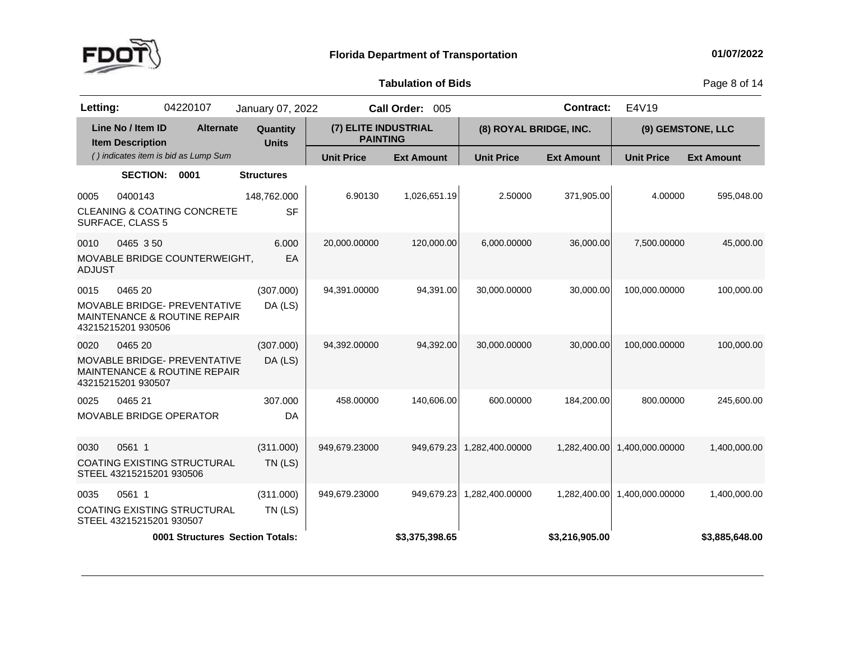

**of Bids** Page <sup>8</sup> of <sup>14</sup>

| Letting:                                     | 04220107                                                            | January 07, 2022         |                                         | Call Order: 005   |                        | <b>Contract:</b>  | E4V19             |                   |
|----------------------------------------------|---------------------------------------------------------------------|--------------------------|-----------------------------------------|-------------------|------------------------|-------------------|-------------------|-------------------|
| Line No / Item ID<br><b>Item Description</b> | <b>Alternate</b>                                                    | Quantity<br><b>Units</b> | (7) ELITE INDUSTRIAL<br><b>PAINTING</b> |                   | (8) ROYAL BRIDGE, INC. |                   |                   | (9) GEMSTONE, LLC |
|                                              | () indicates item is bid as Lump Sum                                |                          | <b>Unit Price</b>                       | <b>Ext Amount</b> | <b>Unit Price</b>      | <b>Ext Amount</b> | <b>Unit Price</b> | <b>Ext Amount</b> |
|                                              | <b>SECTION:</b><br>0001                                             | <b>Structures</b>        |                                         |                   |                        |                   |                   |                   |
| 0400143<br>0005<br>SURFACE, CLASS 5          | <b>CLEANING &amp; COATING CONCRETE</b>                              | 148,762.000<br><b>SF</b> | 6.90130                                 | 1,026,651.19      | 2.50000                | 371,905.00        | 4.00000           | 595,048.00        |
| 0010<br><b>ADJUST</b>                        | 0465 350<br>MOVABLE BRIDGE COUNTERWEIGHT,                           | 6.000<br>EA              | 20,000.00000                            | 120,000.00        | 6,000.00000            | 36,000.00         | 7,500.00000       | 45,000.00         |
| 0465 20<br>0015<br>43215215201 930506        | <b>MOVABLE BRIDGE- PREVENTATIVE</b><br>MAINTENANCE & ROUTINE REPAIR | (307.000)<br>DA (LS)     | 94,391.00000                            | 94,391.00         | 30,000.00000           | 30,000.00         | 100,000.00000     | 100,000.00        |
| 0020<br>0465 20<br>43215215201 930507        | <b>MOVABLE BRIDGE- PREVENTATIVE</b><br>MAINTENANCE & ROUTINE REPAIR | (307.000)<br>DA (LS)     | 94,392.00000                            | 94,392.00         | 30,000.00000           | 30,000.00         | 100,000.00000     | 100,000.00        |
| 0025<br>0465 21                              | <b>MOVABLE BRIDGE OPERATOR</b>                                      | 307.000<br>DA            | 458.00000                               | 140,606.00        | 600.00000              | 184,200.00        | 800.00000         | 245,600.00        |
| 0030<br>0561 1                               | COATING EXISTING STRUCTURAL<br>STEEL 43215215201 930506             | (311.000)<br>$TN$ (LS)   | 949,679.23000                           | 949,679.23        | 1,282,400.00000        | 1,282,400.00      | 1,400,000.00000   | 1,400,000.00      |
| 0561 1<br>0035                               | <b>COATING EXISTING STRUCTURAL</b><br>STEEL 43215215201 930507      | (311.000)<br>$TN$ (LS)   | 949,679.23000                           | 949,679.23        | 1,282,400.00000        | 1,282,400.00      | 1,400,000.00000   | 1,400,000.00      |
|                                              | <b>0001 Structures Section Totals:</b>                              |                          |                                         | \$3,375,398.65    |                        | \$3,216,905.00    |                   | \$3,885,648.00    |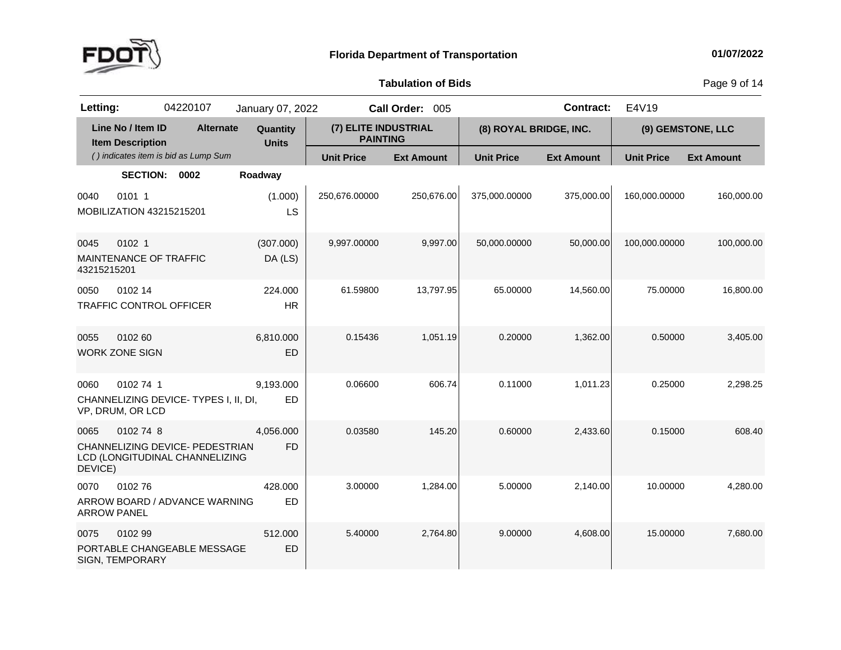

**of Bids** Page <sup>9</sup> of <sup>14</sup>

| Letting:            |                                              | 04220107                                                          | January 07, 2022         |                                         | Call Order: 005   |                        | <b>Contract:</b>  | E4V19             |                   |
|---------------------|----------------------------------------------|-------------------------------------------------------------------|--------------------------|-----------------------------------------|-------------------|------------------------|-------------------|-------------------|-------------------|
|                     | Line No / Item ID<br><b>Item Description</b> | <b>Alternate</b>                                                  | Quantity<br><b>Units</b> | (7) ELITE INDUSTRIAL<br><b>PAINTING</b> |                   | (8) ROYAL BRIDGE, INC. |                   |                   | (9) GEMSTONE, LLC |
|                     |                                              | () indicates item is bid as Lump Sum                              |                          | <b>Unit Price</b>                       | <b>Ext Amount</b> | <b>Unit Price</b>      | <b>Ext Amount</b> | <b>Unit Price</b> | <b>Ext Amount</b> |
|                     | SECTION: 0002                                |                                                                   | Roadway                  |                                         |                   |                        |                   |                   |                   |
| 0040                | 0101 1<br>MOBILIZATION 43215215201           |                                                                   | (1.000)<br>LS            | 250,676.00000                           | 250,676.00        | 375,000.00000          | 375,000.00        | 160,000.00000     | 160,000.00        |
| 0045<br>43215215201 | 0102 1<br>MAINTENANCE OF TRAFFIC             |                                                                   | (307.000)<br>DA (LS)     | 9,997.00000                             | 9,997.00          | 50,000.00000           | 50,000.00         | 100,000.00000     | 100,000.00        |
| 0050                | 0102 14<br><b>TRAFFIC CONTROL OFFICER</b>    |                                                                   | 224.000<br><b>HR</b>     | 61.59800                                | 13,797.95         | 65.00000               | 14,560.00         | 75.00000          | 16,800.00         |
| 0055                | 0102 60<br><b>WORK ZONE SIGN</b>             |                                                                   | 6,810.000<br>ED          | 0.15436                                 | 1,051.19          | 0.20000                | 1,362.00          | 0.50000           | 3,405.00          |
| 0060                | 0102 74 1<br>VP, DRUM, OR LCD                | CHANNELIZING DEVICE-TYPES I, II, DI,                              | 9,193.000<br><b>ED</b>   | 0.06600                                 | 606.74            | 0.11000                | 1,011.23          | 0.25000           | 2,298.25          |
| 0065<br>DEVICE)     | 0102 74 8                                    | CHANNELIZING DEVICE- PEDESTRIAN<br>LCD (LONGITUDINAL CHANNELIZING | 4,056.000<br><b>FD</b>   | 0.03580                                 | 145.20            | 0.60000                | 2,433.60          | 0.15000           | 608.40            |
| 0070                | 010276<br><b>ARROW PANEL</b>                 | ARROW BOARD / ADVANCE WARNING                                     | 428.000<br><b>ED</b>     | 3.00000                                 | 1,284.00          | 5.00000                | 2,140.00          | 10.00000          | 4,280.00          |
| 0075                | 0102 99<br>SIGN, TEMPORARY                   | PORTABLE CHANGEABLE MESSAGE                                       | 512.000<br><b>ED</b>     | 5.40000                                 | 2,764.80          | 9.00000                | 4,608.00          | 15.00000          | 7,680.00          |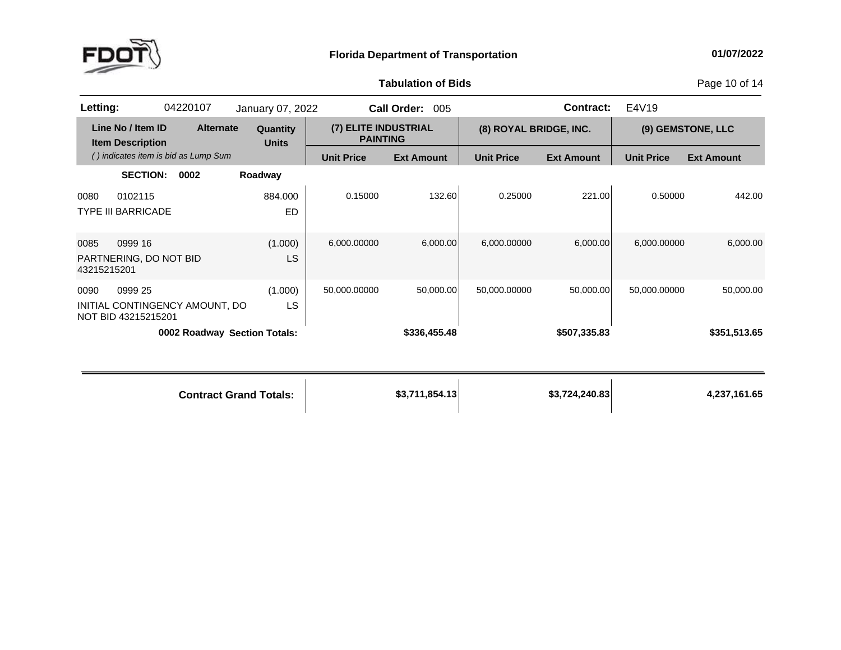

**of Bids** Page <sup>10</sup> of <sup>14</sup>

| Letting:                                     |                                      | 04220107                             | January 07, 2022                |                   | Call Order: 005                         |                   | <b>Contract:</b>       | E4V19             |                   |  |
|----------------------------------------------|--------------------------------------|--------------------------------------|---------------------------------|-------------------|-----------------------------------------|-------------------|------------------------|-------------------|-------------------|--|
| Line No / Item ID<br><b>Item Description</b> |                                      | <b>Alternate</b>                     | <b>Quantity</b><br><b>Units</b> |                   | (7) ELITE INDUSTRIAL<br><b>PAINTING</b> |                   | (8) ROYAL BRIDGE, INC. |                   | (9) GEMSTONE, LLC |  |
|                                              |                                      | () indicates item is bid as Lump Sum |                                 | <b>Unit Price</b> | <b>Ext Amount</b>                       | <b>Unit Price</b> | <b>Ext Amount</b>      | <b>Unit Price</b> | <b>Ext Amount</b> |  |
|                                              | <b>SECTION:</b>                      | 0002                                 | Roadway                         |                   |                                         |                   |                        |                   |                   |  |
| 0080                                         | 0102115<br><b>TYPE III BARRICADE</b> |                                      | 884.000<br>ED                   | 0.15000           | 132.60                                  | 0.25000           | 221.00                 | 0.50000           | 442.00            |  |
| 0085<br>43215215201                          | 0999 16<br>PARTNERING, DO NOT BID    |                                      | (1.000)<br>LS                   | 6,000.00000       | 6,000.00                                | 6,000.00000       | 6,000.00               | 6,000.00000       | 6,000.00          |  |
| 0090                                         | 0999 25<br>NOT BID 43215215201       | INITIAL CONTINGENCY AMOUNT, DO       | (1.000)<br>LS                   | 50,000.00000      | 50,000.00                               | 50,000.00000      | 50,000.00              | 50,000.00000      | 50,000.00         |  |
|                                              |                                      | 0002 Roadway Section Totals:         |                                 |                   | \$336,455.48                            |                   | \$507,335.83           |                   | \$351,513.65      |  |
|                                              |                                      |                                      | <b>Contract Grand Totals:</b>   |                   | \$3,711,854.13                          |                   | \$3,724,240.83         |                   | 4,237,161.65      |  |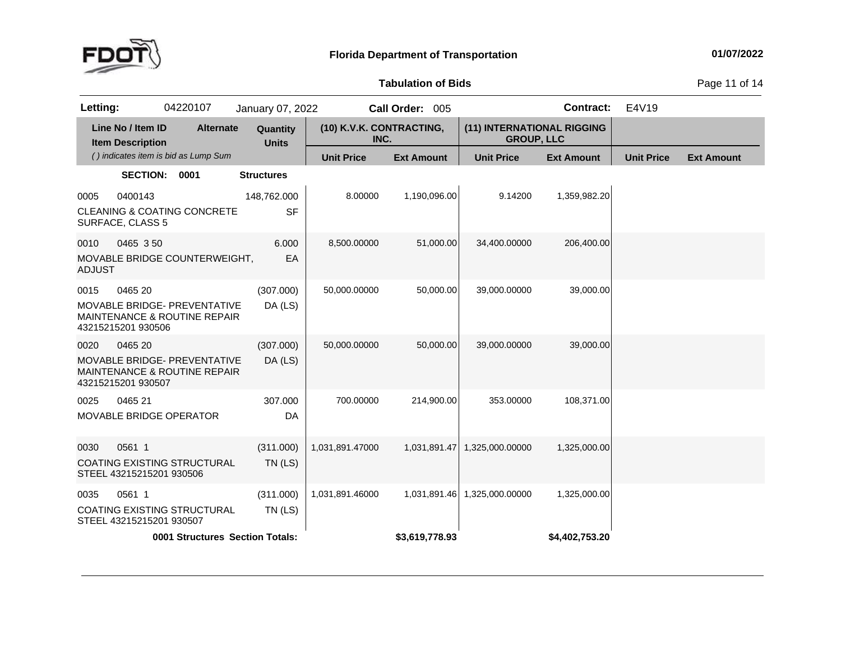

**of Bids** Page <sup>11</sup> of <sup>14</sup>

| Letting:              |                                              | 04220107                                                                       | January 07, 2022         |                                  | Call Order: 005   |                                                 | <b>Contract:</b>  | E4V19             |                   |
|-----------------------|----------------------------------------------|--------------------------------------------------------------------------------|--------------------------|----------------------------------|-------------------|-------------------------------------------------|-------------------|-------------------|-------------------|
|                       | Line No / Item ID<br><b>Item Description</b> | <b>Alternate</b>                                                               | Quantity<br><b>Units</b> | (10) K.V.K. CONTRACTING,<br>INC. |                   | (11) INTERNATIONAL RIGGING<br><b>GROUP, LLC</b> |                   |                   |                   |
|                       |                                              | () indicates item is bid as Lump Sum                                           |                          | <b>Unit Price</b>                | <b>Ext Amount</b> | <b>Unit Price</b>                               | <b>Ext Amount</b> | <b>Unit Price</b> | <b>Ext Amount</b> |
|                       | <b>SECTION:</b>                              | 0001                                                                           | <b>Structures</b>        |                                  |                   |                                                 |                   |                   |                   |
| 0005                  | 0400143<br>SURFACE, CLASS 5                  | <b>CLEANING &amp; COATING CONCRETE</b>                                         | 148,762.000<br><b>SF</b> | 8.00000                          | 1,190,096.00      | 9.14200                                         | 1,359,982.20      |                   |                   |
| 0010<br><b>ADJUST</b> | 0465 350                                     | MOVABLE BRIDGE COUNTERWEIGHT,                                                  | 6.000<br>EA              | 8,500.00000                      | 51,000.00         | 34,400.00000                                    | 206,400.00        |                   |                   |
| 0015                  | 0465 20<br>43215215201 930506                | MOVABLE BRIDGE- PREVENTATIVE<br><b>MAINTENANCE &amp; ROUTINE REPAIR</b>        | (307.000)<br>DA (LS)     | 50,000.00000                     | 50,000.00         | 39,000.00000                                    | 39,000.00         |                   |                   |
| 0020                  | 0465 20<br>43215215201 930507                | <b>MOVABLE BRIDGE- PREVENTATIVE</b><br><b>MAINTENANCE &amp; ROUTINE REPAIR</b> | (307.000)<br>DA (LS)     | 50,000.00000                     | 50,000.00         | 39,000.00000                                    | 39,000.00         |                   |                   |
| 0025                  | 0465 21                                      | MOVABLE BRIDGE OPERATOR                                                        | 307.000<br>DA            | 700.00000                        | 214,900.00        | 353.00000                                       | 108,371.00        |                   |                   |
| 0030                  | 0561 1<br>STEEL 43215215201 930506           | <b>COATING EXISTING STRUCTURAL</b>                                             | (311.000)<br>$TN$ (LS)   | 1,031,891.47000                  | 1,031,891.47      | 1,325,000.00000                                 | 1,325,000.00      |                   |                   |
| 0035                  | 0561 1<br>STEEL 43215215201 930507           | COATING EXISTING STRUCTURAL                                                    | (311.000)<br>$TN$ (LS)   | 1,031,891.46000                  | 1,031,891.46      | 1,325,000.00000                                 | 1,325,000.00      |                   |                   |
|                       |                                              | 0001 Structures Section Totals:                                                |                          |                                  | \$3,619,778.93    |                                                 | \$4,402,753.20    |                   |                   |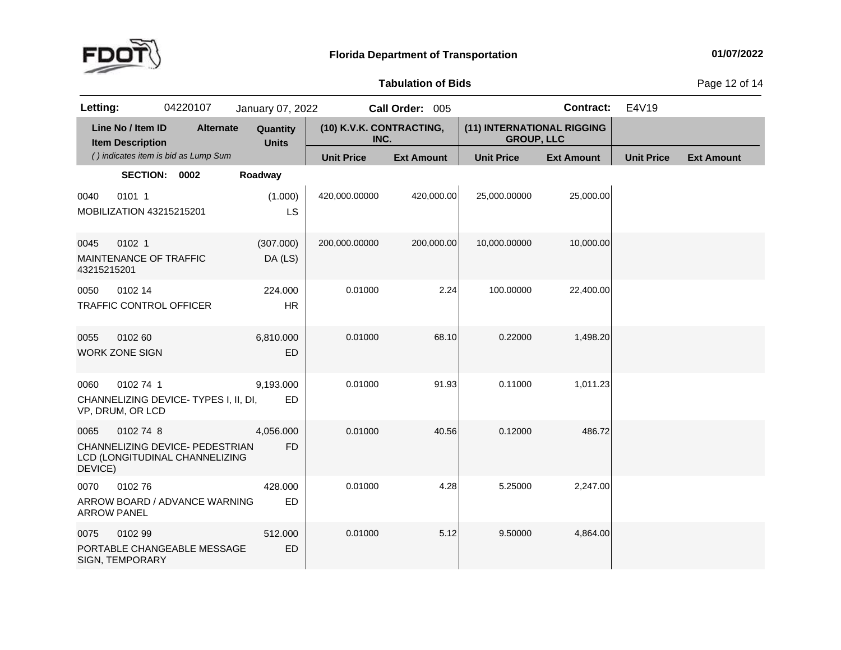

**of Bids** Page <sup>12</sup> of <sup>14</sup>

| Letting:            |                                              | 04220107                                                          | January 07, 2022         |                                  | Call Order: 005   |                                                 | <b>Contract:</b>  | E4V19             |                   |
|---------------------|----------------------------------------------|-------------------------------------------------------------------|--------------------------|----------------------------------|-------------------|-------------------------------------------------|-------------------|-------------------|-------------------|
|                     | Line No / Item ID<br><b>Item Description</b> | <b>Alternate</b>                                                  | Quantity<br><b>Units</b> | (10) K.V.K. CONTRACTING,<br>INC. |                   | (11) INTERNATIONAL RIGGING<br><b>GROUP, LLC</b> |                   |                   |                   |
|                     |                                              | () indicates item is bid as Lump Sum                              |                          | <b>Unit Price</b>                | <b>Ext Amount</b> | <b>Unit Price</b>                               | <b>Ext Amount</b> | <b>Unit Price</b> | <b>Ext Amount</b> |
|                     | SECTION: 0002                                |                                                                   | Roadway                  |                                  |                   |                                                 |                   |                   |                   |
| 0040                | 0101 1<br>MOBILIZATION 43215215201           |                                                                   | (1.000)<br>LS            | 420,000.00000                    | 420,000.00        | 25,000.00000                                    | 25,000.00         |                   |                   |
| 0045<br>43215215201 | 0102 1<br>MAINTENANCE OF TRAFFIC             |                                                                   | (307.000)<br>DA (LS)     | 200,000.00000                    | 200,000.00        | 10,000.00000                                    | 10,000.00         |                   |                   |
| 0050                | 0102 14                                      | <b>TRAFFIC CONTROL OFFICER</b>                                    | 224.000<br><b>HR</b>     | 0.01000                          | 2.24              | 100.00000                                       | 22,400.00         |                   |                   |
| 0055                | 0102 60<br><b>WORK ZONE SIGN</b>             |                                                                   | 6,810.000<br>ED          | 0.01000                          | 68.10             | 0.22000                                         | 1,498.20          |                   |                   |
| 0060                | 0102 74 1<br>VP, DRUM, OR LCD                | CHANNELIZING DEVICE-TYPES I, II, DI,                              | 9,193.000<br><b>ED</b>   | 0.01000                          | 91.93             | 0.11000                                         | 1,011.23          |                   |                   |
| 0065<br>DEVICE)     | 0102 74 8                                    | CHANNELIZING DEVICE- PEDESTRIAN<br>LCD (LONGITUDINAL CHANNELIZING | 4,056.000<br><b>FD</b>   | 0.01000                          | 40.56             | 0.12000                                         | 486.72            |                   |                   |
| 0070                | 010276<br><b>ARROW PANEL</b>                 | ARROW BOARD / ADVANCE WARNING                                     | 428.000<br><b>ED</b>     | 0.01000                          | 4.28              | 5.25000                                         | 2,247.00          |                   |                   |
| 0075                | 0102 99<br><b>SIGN, TEMPORARY</b>            | PORTABLE CHANGEABLE MESSAGE                                       | 512.000<br>ED            | 0.01000                          | 5.12              | 9.50000                                         | 4,864.00          |                   |                   |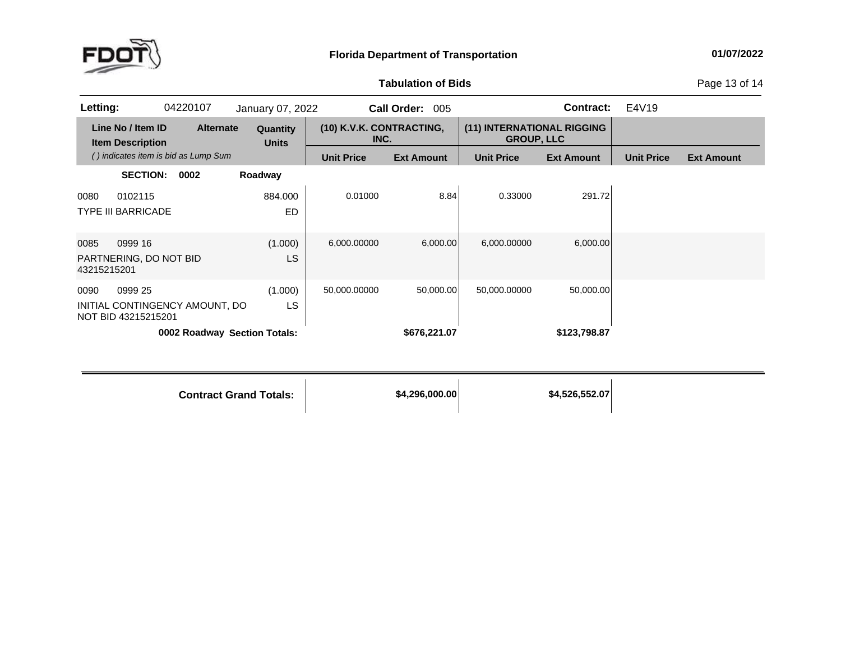

**of Bids** Page <sup>13</sup> of <sup>14</sup>

| Letting:                                                                 | 04220107                             | January 07, 2022         |                                  | <b>Call Order:</b><br>005 |                                                 | <b>Contract:</b>  | E4V19             |                   |
|--------------------------------------------------------------------------|--------------------------------------|--------------------------|----------------------------------|---------------------------|-------------------------------------------------|-------------------|-------------------|-------------------|
| Line No / Item ID<br><b>Item Description</b>                             | <b>Alternate</b>                     | Quantity<br><b>Units</b> | (10) K.V.K. CONTRACTING,<br>INC. |                           | (11) INTERNATIONAL RIGGING<br><b>GROUP, LLC</b> |                   |                   |                   |
|                                                                          | () indicates item is bid as Lump Sum |                          | <b>Unit Price</b>                | <b>Ext Amount</b>         | <b>Unit Price</b>                               | <b>Ext Amount</b> | <b>Unit Price</b> | <b>Ext Amount</b> |
| <b>SECTION:</b>                                                          | 0002                                 | Roadway                  |                                  |                           |                                                 |                   |                   |                   |
| 0102115<br>0080<br><b>TYPE III BARRICADE</b>                             |                                      | 884.000<br><b>ED</b>     | 0.01000                          | 8.84                      | 0.33000                                         | 291.72            |                   |                   |
| 0999 16<br>0085<br>PARTNERING, DO NOT BID<br>43215215201                 |                                      | (1.000)<br>LS            | 6,000.00000                      | 6,000.00                  | 6,000.00000                                     | 6,000.00          |                   |                   |
| 0090<br>0999 25<br>INITIAL CONTINGENCY AMOUNT, DO<br>NOT BID 43215215201 |                                      | (1.000)<br><b>LS</b>     | 50,000.00000                     | 50,000.00                 | 50,000.00000                                    | 50,000.00         |                   |                   |
|                                                                          | 0002 Roadway Section Totals:         |                          |                                  | \$676,221.07              |                                                 | \$123,798.87      |                   |                   |

**Contract Grand**

**Totals: \$4,296,000.00 \$4,526,552.07**